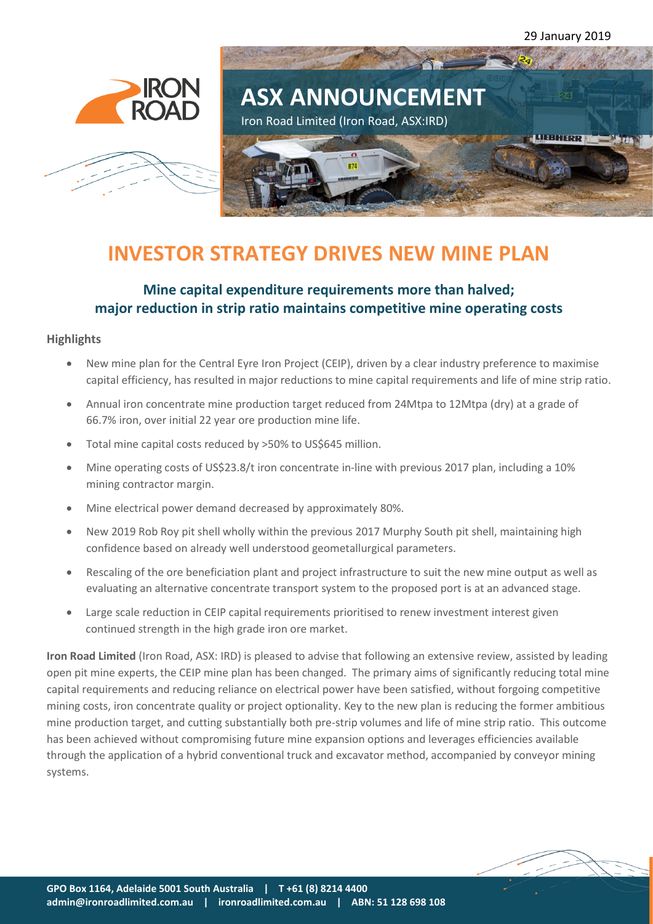



# **INVESTOR STRATEGY DRIVES NEW MINE PLAN**

## **Mine capital expenditure requirements more than halved; major reduction in strip ratio maintains competitive mine operating costs**

#### **Highlights**

- New mine plan for the Central Eyre Iron Project (CEIP), driven by a clear industry preference to maximise capital efficiency, has resulted in major reductions to mine capital requirements and life of mine strip ratio.
- Annual iron concentrate mine production target reduced from 24Mtpa to 12Mtpa (dry) at a grade of 66.7% iron, over initial 22 year ore production mine life.
- Total mine capital costs reduced by >50% to US\$645 million.
- Mine operating costs of US\$23.8/t iron concentrate in-line with previous 2017 plan, including a 10% mining contractor margin.
- Mine electrical power demand decreased by approximately 80%.
- New 2019 Rob Roy pit shell wholly within the previous 2017 Murphy South pit shell, maintaining high confidence based on already well understood geometallurgical parameters.
- Rescaling of the ore beneficiation plant and project infrastructure to suit the new mine output as well as evaluating an alternative concentrate transport system to the proposed port is at an advanced stage.
- Large scale reduction in CEIP capital requirements prioritised to renew investment interest given continued strength in the high grade iron ore market.

**Iron Road Limited** (Iron Road, ASX: IRD) is pleased to advise that following an extensive review, assisted by leading open pit mine experts, the CEIP mine plan has been changed. The primary aims of significantly reducing total mine capital requirements and reducing reliance on electrical power have been satisfied, without forgoing competitive mining costs, iron concentrate quality or project optionality. Key to the new plan is reducing the former ambitious mine production target, and cutting substantially both pre-strip volumes and life of mine strip ratio. This outcome has been achieved without compromising future mine expansion options and leverages efficiencies available through the application of a hybrid conventional truck and excavator method, accompanied by conveyor mining systems.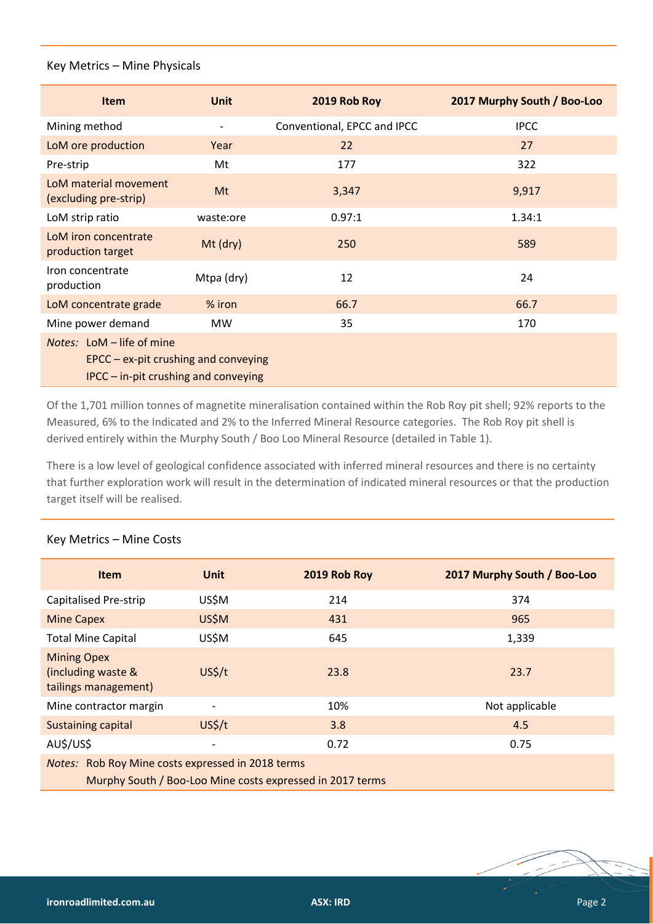#### Key Metrics – Mine Physicals

| Item                                                                                                                           | <b>Unit</b> | 2019 Rob Roy                | 2017 Murphy South / Boo-Loo |  |
|--------------------------------------------------------------------------------------------------------------------------------|-------------|-----------------------------|-----------------------------|--|
| Mining method                                                                                                                  |             | Conventional, EPCC and IPCC | <b>IPCC</b>                 |  |
| LoM ore production                                                                                                             | Year        | 22                          | 27                          |  |
| Pre-strip                                                                                                                      | Mt          | 177                         | 322                         |  |
| LoM material movement<br>(excluding pre-strip)                                                                                 | Mt          | 3,347                       | 9,917                       |  |
| LoM strip ratio                                                                                                                | waste:ore   | 0.97:1                      | 1.34:1                      |  |
| LoM iron concentrate<br>production target                                                                                      | Mt (dry)    | 250                         | 589                         |  |
| Iron concentrate<br>production                                                                                                 | Mtpa (dry)  | 12                          | 24                          |  |
| LoM concentrate grade                                                                                                          | $%$ iron    | 66.7                        | 66.7                        |  |
| Mine power demand                                                                                                              | <b>MW</b>   | 35                          | 170                         |  |
| Notes: LoM - life of mine<br>$EPCC - ex$ -pit crushing and conveying<br>$\textsf{IPCC}-\textsf{in-pit}$ crushing and conveying |             |                             |                             |  |

Of the 1,701 million tonnes of magnetite mineralisation contained within the Rob Roy pit shell; 92% reports to the Measured, 6% to the Indicated and 2% to the Inferred Mineral Resource categories. The Rob Roy pit shell is derived entirely within the Murphy South / Boo Loo Mineral Resource (detailed in Table 1).

There is a low level of geological confidence associated with inferred mineral resources and there is no certainty that further exploration work will result in the determination of indicated mineral resources or that the production target itself will be realised.

| <b>Item</b>                                                                                                    | <b>Unit</b>              | 2019 Rob Roy | 2017 Murphy South / Boo-Loo |  |
|----------------------------------------------------------------------------------------------------------------|--------------------------|--------------|-----------------------------|--|
| <b>Capitalised Pre-strip</b>                                                                                   | US\$M                    | 214          | 374                         |  |
| <b>Mine Capex</b>                                                                                              | US\$M                    | 431          | 965                         |  |
| <b>Total Mine Capital</b>                                                                                      | US\$M                    | 645          | 1,339                       |  |
| <b>Mining Opex</b><br>(including waste &<br>tailings management)                                               | US <sup>2</sup> /t       | 23.8         | 23.7                        |  |
| Mine contractor margin                                                                                         | $\overline{\phantom{a}}$ | 10%          | Not applicable              |  |
| <b>Sustaining capital</b>                                                                                      | US <sup>2</sup> /t       | 3.8          | 4.5                         |  |
| AU\$/US\$                                                                                                      | $\overline{\phantom{a}}$ | 0.72         | 0.75                        |  |
| Notes: Rob Roy Mine costs expressed in 2018 terms<br>Murphy South / Boo-Loo Mine costs expressed in 2017 terms |                          |              |                             |  |

#### Key Metrics – Mine Costs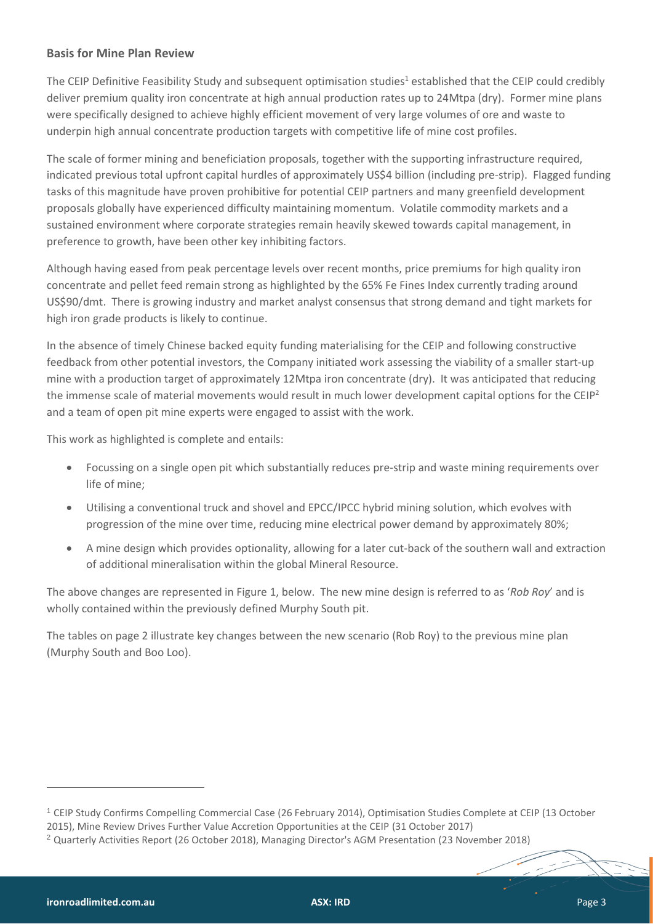#### **Basis for Mine Plan Review**

The CEIP Definitive Feasibility Study and subsequent optimisation studies<sup>1</sup> established that the CEIP could credibly deliver premium quality iron concentrate at high annual production rates up to 24Mtpa (dry). Former mine plans were specifically designed to achieve highly efficient movement of very large volumes of ore and waste to underpin high annual concentrate production targets with competitive life of mine cost profiles.

The scale of former mining and beneficiation proposals, together with the supporting infrastructure required, indicated previous total upfront capital hurdles of approximately US\$4 billion (including pre-strip). Flagged funding tasks of this magnitude have proven prohibitive for potential CEIP partners and many greenfield development proposals globally have experienced difficulty maintaining momentum. Volatile commodity markets and a sustained environment where corporate strategies remain heavily skewed towards capital management, in preference to growth, have been other key inhibiting factors.

Although having eased from peak percentage levels over recent months, price premiums for high quality iron concentrate and pellet feed remain strong as highlighted by the 65% Fe Fines Index currently trading around US\$90/dmt. There is growing industry and market analyst consensus that strong demand and tight markets for high iron grade products is likely to continue.

In the absence of timely Chinese backed equity funding materialising for the CEIP and following constructive feedback from other potential investors, the Company initiated work assessing the viability of a smaller start-up mine with a production target of approximately 12Mtpa iron concentrate (dry). It was anticipated that reducing the immense scale of material movements would result in much lower development capital options for the CEIP<sup>2</sup> and a team of open pit mine experts were engaged to assist with the work.

This work as highlighted is complete and entails:

- Focussing on a single open pit which substantially reduces pre-strip and waste mining requirements over life of mine;
- Utilising a conventional truck and shovel and EPCC/IPCC hybrid mining solution, which evolves with progression of the mine over time, reducing mine electrical power demand by approximately 80%;
- A mine design which provides optionality, allowing for a later cut-back of the southern wall and extraction of additional mineralisation within the global Mineral Resource.

The above changes are represented in Figure 1, below. The new mine design is referred to as '*Rob Roy*' and is wholly contained within the previously defined Murphy South pit.

The tables on page 2 illustrate key changes between the new scenario (Rob Roy) to the previous mine plan (Murphy South and Boo Loo).

 $\overline{a}$ 

<sup>1</sup> [CEIP Study Confirms Compelling Commercial Case](http://clients2.weblink.com.au/clients/ironroad/article.asp?asx=IRD&view=6668845) (26 February 2014), Optimisation Studies Complete at CEIP (13 October 2015), Mine Review Drives Further Value Accretion Opportunities at the CEIP (31 October 2017)

<sup>2</sup> [Quarterly Activities Report](http://clients2.weblink.com.au/clients/ironroad/article.asp?asx=IRD&view=6906036) (26 October 2018), [Managing Director's AGM Presentation](http://clients2.weblink.com.au/clients/ironroad/article.asp?asx=IRD&view=6910579) (23 November 2018)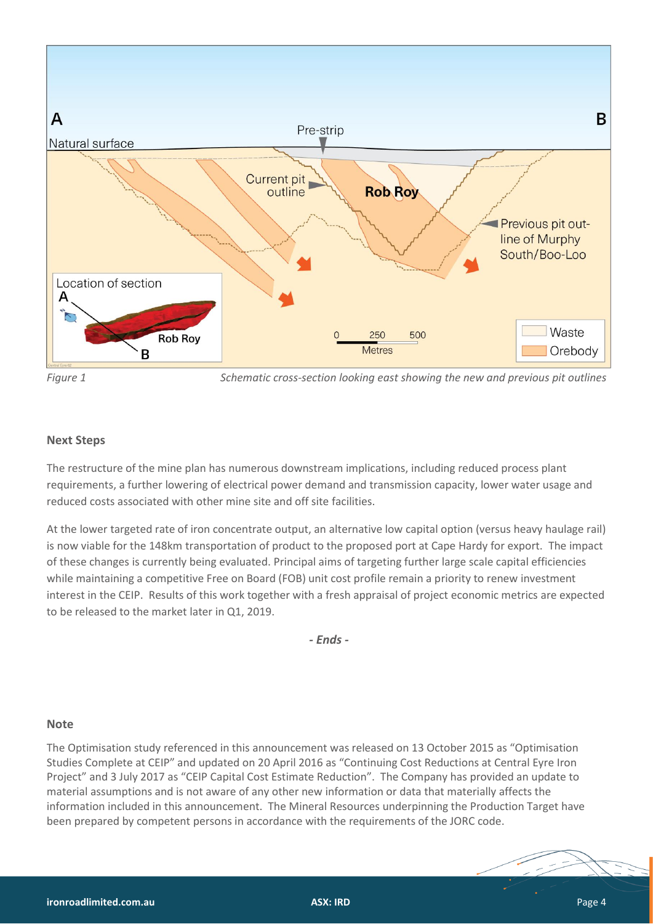

*Figure 1 Schematic cross-section looking east showing the new and previous pit outlines*

#### **Next Steps**

The restructure of the mine plan has numerous downstream implications, including reduced process plant requirements, a further lowering of electrical power demand and transmission capacity, lower water usage and reduced costs associated with other mine site and off site facilities.

At the lower targeted rate of iron concentrate output, an alternative low capital option (versus heavy haulage rail) is now viable for the 148km transportation of product to the proposed port at Cape Hardy for export. The impact of these changes is currently being evaluated. Principal aims of targeting further large scale capital efficiencies while maintaining a competitive Free on Board (FOB) unit cost profile remain a priority to renew investment interest in the CEIP. Results of this work together with a fresh appraisal of project economic metrics are expected to be released to the market later in Q1, 2019.

*- Ends -*

#### **Note**

The Optimisation study referenced in this announcement was released on 13 October 2015 as "Optimisation Studies Complete at CEIP" and updated on 20 April 2016 as "Continuing Cost Reductions at Central Eyre Iron Project" and 3 July 2017 as "CEIP Capital Cost Estimate Reduction". The Company has provided an update to material assumptions and is not aware of any other new information or data that materially affects the information included in this announcement. The Mineral Resources underpinning the Production Target have been prepared by competent persons in accordance with the requirements of the JORC code.